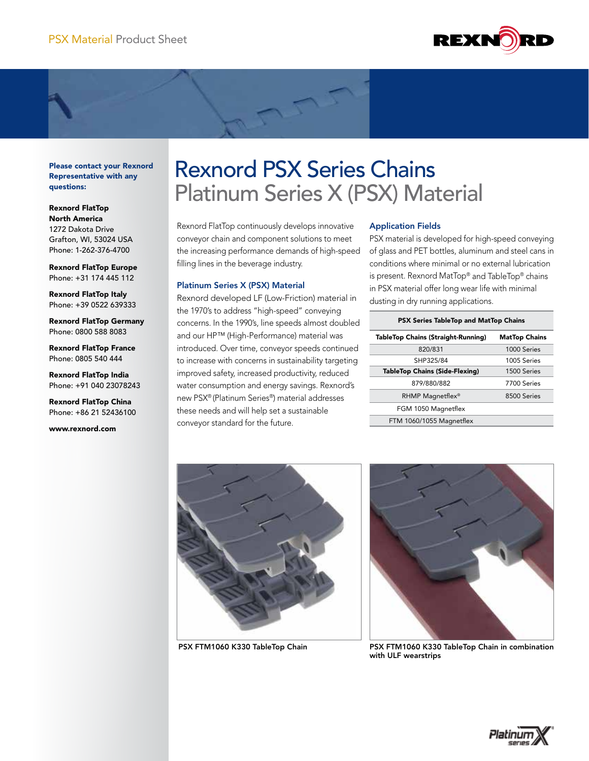

Please contact your Rexnord Representative with any questions:

Rexnord FlatTop North America 1272 Dakota Drive Grafton, WI, 53024 USA Phone: 1-262-376-4700

Rexnord FlatTop Europe Phone: +31 174 445 112

Rexnord FlatTop Italy Phone: +39 0522 639333

Rexnord FlatTop Germany Phone: 0800 588 8083

Rexnord FlatTop France Phone: 0805 540 444

Rexnord FlatTop India Phone: +91 040 23078243

Rexnord FlatTop China Phone: +86 21 52436100

www.rexnord.com

# Rexnord PSX Series Chains Platinum Series X (PSX) Material

Rexnord FlatTop continuously develops innovative conveyor chain and component solutions to meet the increasing performance demands of high-speed filling lines in the beverage industry.

# Platinum Series X (PSX) Material

Rexnord developed LF (Low-Friction) material in the 1970's to address "high-speed" conveying concerns. In the 1990's, line speeds almost doubled and our HP™ (High-Performance) material was introduced. Over time, conveyor speeds continued to increase with concerns in sustainability targeting improved safety, increased productivity, reduced water consumption and energy savings. Rexnord's new PSX® (Platinum Series®) material addresses these needs and will help set a sustainable conveyor standard for the future.

# Application Fields

PSX material is developed for high-speed conveying of glass and PET bottles, aluminum and steel cans in conditions where minimal or no external lubrication is present. Rexnord MatTop® and TableTop® chains in PSX material offer long wear life with minimal dusting in dry running applications.

| <b>PSX Series TableTop and MatTop Chains</b> |                      |
|----------------------------------------------|----------------------|
| <b>TableTop Chains (Straight-Running)</b>    | <b>MatTop Chains</b> |
| 820/831                                      | 1000 Series          |
| SHP325/84                                    | 1005 Series          |
| <b>TableTop Chains (Side-Flexing)</b>        | 1500 Series          |
| 879/880/882                                  | 7700 Series          |
| RHMP Magnetflex <sup>®</sup>                 | 8500 Series          |
| FGM 1050 Magnetflex                          |                      |
| FTM 1060/1055 Magnetflex                     |                      |





PSX FTM1060 K330 TableTop Chain PSX FTM1060 K330 TableTop Chain in combination with ULF wearstrips